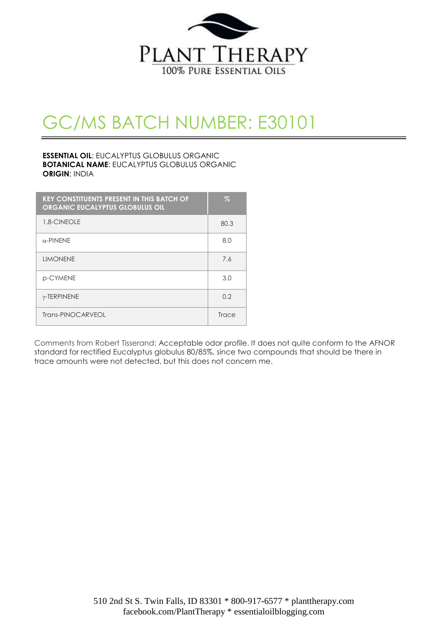

# GC/MS BATCH NUMBER: E30101

#### **ESSENTIAL OIL**: EUCALYPTUS GLOBULUS ORGANIC **BOTANICAL NAME**: EUCALYPTUS GLOBULUS ORGANIC **ORIGIN**: INDIA

| <b>KEY CONSTITUENTS PRESENT IN THIS BATCH OF</b><br><b>ORGANIC EUCALYPTUS GLOBULUS OIL</b> | $\%$  |
|--------------------------------------------------------------------------------------------|-------|
| 1.8-CINEOLE                                                                                | 80.3  |
| $\alpha$ -PINENE                                                                           | 8.0   |
| <b>LIMONENE</b>                                                                            | 7.6   |
| p-CYMENE                                                                                   | 3.0   |
| $\gamma$ -TERPINENE                                                                        | 0.2   |
| Trans-PINOCARVEOL                                                                          | Trace |

Comments from Robert Tisserand: Acceptable odor profile. It does not quite conform to the AFNOR standard for rectified Eucalyptus globulus 80/85%, since two compounds that should be there in trace amounts were not detected, but this does not concern me.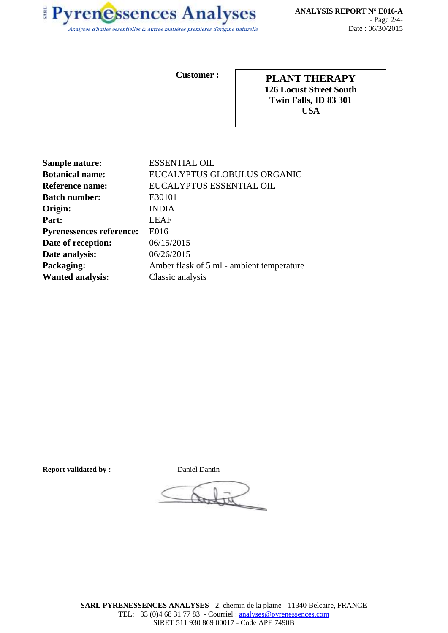

**Customer :**

**PLANT THERAPY 126 Locust Street South Twin Falls, ID 83 301 USA**

| <b>Sample nature:</b>           | <b>ESSENTIAL OIL</b>                      |
|---------------------------------|-------------------------------------------|
| <b>Botanical name:</b>          | EUCALYPTUS GLOBULUS ORGANIC               |
| <b>Reference name:</b>          | EUCALYPTUS ESSENTIAL OIL                  |
| <b>Batch number:</b>            | E30101                                    |
| Origin:                         | <b>INDIA</b>                              |
| Part:                           | LEAF                                      |
| <b>Pyrenessences reference:</b> | E016                                      |
| Date of reception:              | 06/15/2015                                |
| Date analysis:                  | 06/26/2015                                |
| Packaging:                      | Amber flask of 5 ml - ambient temperature |
| <b>Wanted analysis:</b>         | Classic analysis                          |

**Report validated by : <br> Daniel Dantin**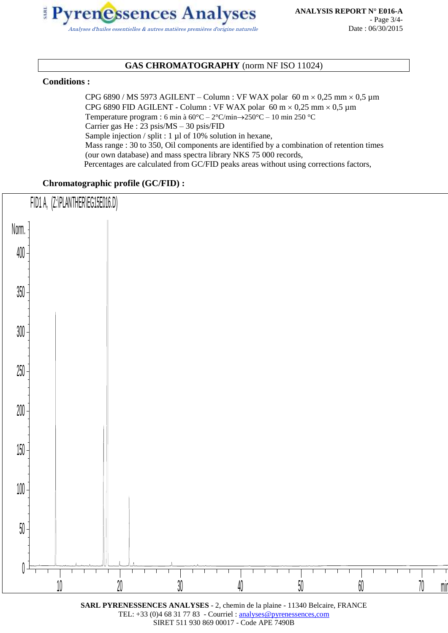

### **GAS CHROMATOGRAPHY** (norm NF ISO 11024)

#### **Conditions :**

CPG 6890 / MS 5973 AGILENT – Column : VF WAX polar 60 m  $\times$  0,25 mm  $\times$  0,5 µm CPG 6890 FID AGILENT - Column : VF WAX polar 60 m  $\times$  0,25 mm  $\times$  0,5 µm Temperature program : 6 min à 60°C – 2°C/min250°C – 10 min 250 °C Carrier gas He : 23 psis/MS – 30 psis/FID Sample injection / split : 1 µl of 10% solution in hexane, Mass range : 30 to 350, Oil components are identified by a combination of retention times (our own database) and mass spectra library NKS 75 000 records, Percentages are calculated from GC/FID peaks areas without using corrections factors,

#### **Chromatographic profile (GC/FID) :**



**SARL PYRENESSENCES ANALYSES** - 2, chemin de la plaine - 11340 Belcaire, FRANCE TEL: +33 (0)4 68 31 77 83 - Courriel : analyses@pyrenessences,com SIRET 511 930 869 00017 - Code APE 7490B